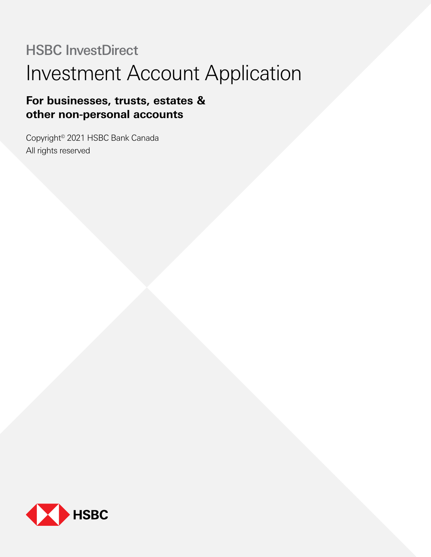# HSBC InvestDirect Investment Account Application

# **For businesses, trusts, estates & other non-personal accounts**

Copyright© 2021 HSBC Bank Canada All rights reserved

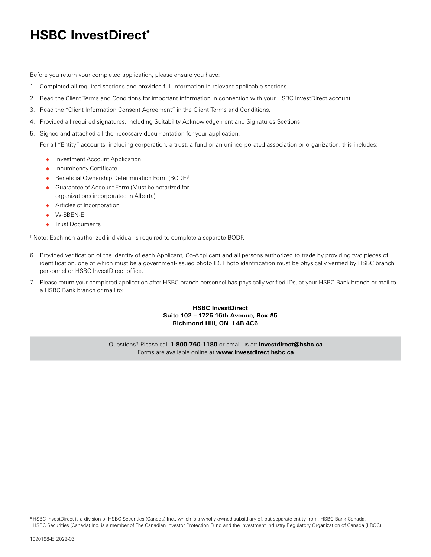# **HSBC InvestDirect\***

Before you return your completed application, please ensure you have:

- 1. Completed all required sections and provided full information in relevant applicable sections.
- 2. Read the Client Terms and Conditions for important information in connection with your HSBC InvestDirect account.
- 3. Read the "Client Information Consent Agreement" in the Client Terms and Conditions.
- 4. Provided all required signatures, including Suitability Acknowledgement and Signatures Sections.
- 5. Signed and attached all the necessary documentation for your application.

For all "Entity" accounts, including corporation, a trust, a fund or an unincorporated association or organization, this includes:

- Investment Account Application
- Incumbency Certificate
- ◆ Beneficial Ownership Determination Form (BODF)<sup>†</sup>
- ◆ Guarantee of Account Form (Must be notarized for organizations incorporated in Alberta)
- ◆ Articles of Incorporation
- W-8BEN-E
- ◆ Trust Documents

† Note: Each non-authorized individual is required to complete a separate BODF.

- 6. Provided verification of the identity of each Applicant, Co-Applicant and all persons authorized to trade by providing two pieces of identification, one of which must be a government-issued photo ID. Photo identification must be physically verified by HSBC branch personnel or HSBC InvestDirect office.
- 7. Please return your completed application after HSBC branch personnel has physically verified IDs, at your HSBC Bank branch or mail to a HSBC Bank branch or mail to:

### **HSBC InvestDirect Suite 102 – 1725 16th Avenue, Box #5 Richmond Hill, ON L4B 4C6**

Questions? Please call **1-800-760-1180** or email us at: **investdirect@hsbc.ca** Forms are available online at **www.investdirect.hsbc.ca**

\*HSBC InvestDirect is a division of HSBC Securities (Canada) Inc., which is a wholly owned subsidiary of, but separate entity from, HSBC Bank Canada. HSBC Securities (Canada) Inc. is a member of The Canadian Investor Protection Fund and the Investment Industry Regulatory Organization of Canada (IIROC).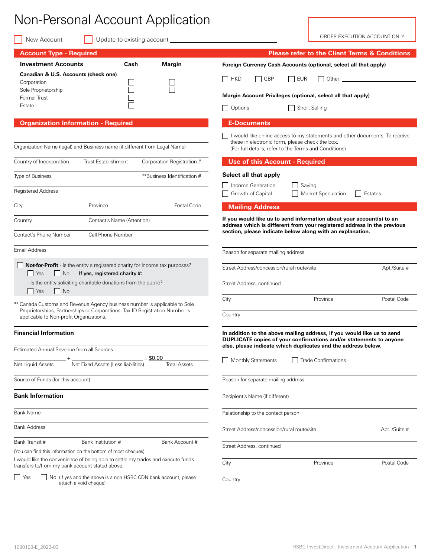# Non-Personal Account Application

New Account Update to existing account

ORDER EXECUTION ACCOUNT ONLY

| <b>Account Type - Required</b>                                                                                                                                                                        | <b>Please refer to the Client Terms &amp; Conditions</b>                                                                                                                                                      |
|-------------------------------------------------------------------------------------------------------------------------------------------------------------------------------------------------------|---------------------------------------------------------------------------------------------------------------------------------------------------------------------------------------------------------------|
| <b>Investment Accounts</b><br>Cash<br>Margin                                                                                                                                                          | Foreign Currency Cash Accounts (optional, select all that apply)                                                                                                                                              |
| Canadian & U.S. Accounts (check one)<br>Corporation                                                                                                                                                   | GBP<br><b>EUR</b><br>  HKD<br>$\Box$<br>$\Box$<br>I Other:                                                                                                                                                    |
| Sole Proprietorship<br>Formal Trust                                                                                                                                                                   | Margin Account Privileges (optional, select all that apply)                                                                                                                                                   |
| Estate                                                                                                                                                                                                | <b>Short Selling</b><br>Options                                                                                                                                                                               |
| <b>Organization Information - Required</b>                                                                                                                                                            | <b>E-Documents</b>                                                                                                                                                                                            |
| Organization Name (legal) and Business name (if different from Legal Name)                                                                                                                            | I would like online access to my statements and other documents. To receive<br>these in electronic form, please check the box.<br>(For full details, refer to the Terms and Conditions)                       |
| Country of Incorporation<br><b>Trust Establishment</b><br>Corporation Registration #                                                                                                                  | <b>Use of this Account - Required</b>                                                                                                                                                                         |
| **Business Identification #<br><b>Type of Business</b>                                                                                                                                                | Select all that apply                                                                                                                                                                                         |
| <b>Registered Address</b>                                                                                                                                                                             | Income Generation<br>Saving<br>Growth of Capital<br>Market Speculation<br>Estates                                                                                                                             |
| Postal Code<br>City<br>Province                                                                                                                                                                       | <b>Mailing Address</b>                                                                                                                                                                                        |
| Contact's Name (Attention)<br>Country                                                                                                                                                                 | If you would like us to send information about your account(s) to an<br>address which is different from your registered address in the previous<br>section, please indicate below along with an explanation.  |
| Contact's Phone Number<br>Cell Phone Number                                                                                                                                                           |                                                                                                                                                                                                               |
| Email Address                                                                                                                                                                                         | Reason for separate mailing address                                                                                                                                                                           |
| <b>Not-for-Profit</b> - Is the entity a registered charity for income tax purposes?<br>If yes, registered charity #:<br>  Yes<br>  No                                                                 | Street Address/concession/rural route/site<br>Apt./Suite #                                                                                                                                                    |
| - Is the entity soliciting charitable donations from the public?<br>$\vert$ No<br>  Yes                                                                                                               | Street Address, continued                                                                                                                                                                                     |
| ** Canada Customs and Revenue Agency business number is applicable to Sole<br>Proprietorships, Partnerships or Corporations. Tax ID Registration Number is<br>applicable to Non-profit Organizations. | City<br>Postal Code<br>Province<br>Country                                                                                                                                                                    |
|                                                                                                                                                                                                       |                                                                                                                                                                                                               |
| <b>Financial Information</b>                                                                                                                                                                          | In addition to the above mailing address, if you would like us to send<br>DUPLICATE copies of your confirmations and/or statements to anyone<br>else, please indicate which duplicates and the address below. |
| Estimated Annual Revenue from all Sources<br>$= $0.00$                                                                                                                                                |                                                                                                                                                                                                               |
| Net Liquid Assets<br>Net Fixed Assets (Less liabilities)<br><b>Total Assets</b>                                                                                                                       | Monthly Statements<br>Trade Confirmations                                                                                                                                                                     |
| Source of Funds (for this account)                                                                                                                                                                    | Reason for separate mailing address                                                                                                                                                                           |
| <b>Bank Information</b>                                                                                                                                                                               | Recipient's Name (if different)                                                                                                                                                                               |
| <b>Bank Name</b>                                                                                                                                                                                      | Relationship to the contact person                                                                                                                                                                            |
| <b>Bank Address</b>                                                                                                                                                                                   | Street Address/concession/rural route/site<br>Apt. /Suite #                                                                                                                                                   |
| Bank Transit #<br>Bank Institution #<br>Bank Account #                                                                                                                                                | Street Address, continued                                                                                                                                                                                     |
| (You can find this information on the bottom of most cheques)                                                                                                                                         |                                                                                                                                                                                                               |
| I would like the convenience of being able to settle my trades and execute funds<br>transfers to/from my bank account stated above.                                                                   | City<br>Postal Code<br>Province                                                                                                                                                                               |
| $\vert$ Yes<br>No (If yes and the above is a non HSBC CDN bank account, please<br>attach a void cheque)                                                                                               | Country                                                                                                                                                                                                       |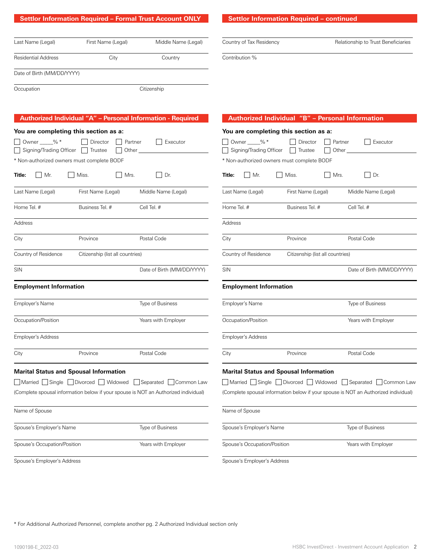**Settlor Information Required – continued**

Country of Tax Residency **Country of Tax Residency** Relationship to Trust Beneficiaries

Contribution %

| Last Name (Legal)          | First Name (Legal) | Middle Name (Legal) |
|----------------------------|--------------------|---------------------|
| <b>Residential Address</b> | City               | Country             |
| Date of Birth (MM/DD/YYYY) |                    |                     |
| Occupation                 |                    | Citizenship         |
|                            |                    |                     |

|                                                  |                                               | Authorized Individual "A" - Personal Information - Required                         |                                               | Authorized Individual "B" - Personal Information |                                                                                     |
|--------------------------------------------------|-----------------------------------------------|-------------------------------------------------------------------------------------|-----------------------------------------------|--------------------------------------------------|-------------------------------------------------------------------------------------|
| You are completing this section as a:            |                                               |                                                                                     | You are completing this section as a:         |                                                  |                                                                                     |
| Owner ___%*<br>Signing/Trading Officer   Trustee | Director                                      | Partner<br>Executor<br>Other                                                        | □ Owner ____% *<br>Signing/Trading Officer    | Director<br>Partner<br>  Trustee<br>Other        | Executor                                                                            |
| * Non-authorized owners must complete BODF       |                                               |                                                                                     | * Non-authorized owners must complete BODF    |                                                  |                                                                                     |
| Title:<br>$\mid$ Mr.                             | Miss.<br>Mrs.                                 | $\Box$ Dr.                                                                          | $\Box$ Mr.<br>Title:                          | Mrs.<br>Miss.                                    | Dr.                                                                                 |
| Last Name (Legal)                                | First Name (Legal)                            | Middle Name (Legal)                                                                 | Last Name (Legal)                             | First Name (Legal)                               | Middle Name (Legal)                                                                 |
| Home Tel. #                                      | Business Tel. #                               | Cell Tel. #                                                                         | Home Tel. #                                   | Business Tel. #                                  | Cell Tel. #                                                                         |
| Address                                          |                                               |                                                                                     | Address                                       |                                                  |                                                                                     |
| City                                             | Province                                      | Postal Code                                                                         | City                                          | Province                                         | Postal Code                                                                         |
| Country of Residence                             | Citizenship (list all countries)              |                                                                                     | Country of Residence                          | Citizenship (list all countries)                 |                                                                                     |
| <b>SIN</b>                                       |                                               | Date of Birth (MM/DD/YYYY)                                                          | <b>SIN</b>                                    |                                                  | Date of Birth (MM/DD/YYYY)                                                          |
| <b>Employment Information</b>                    |                                               |                                                                                     | <b>Employment Information</b>                 |                                                  |                                                                                     |
| Employer's Name                                  |                                               | Type of Business                                                                    | Employer's Name                               |                                                  | Type of Business                                                                    |
| Occupation/Position                              |                                               | Years with Employer                                                                 | Occupation/Position                           |                                                  | Years with Employer                                                                 |
| <b>Employer's Address</b>                        |                                               |                                                                                     | <b>Employer's Address</b>                     |                                                  |                                                                                     |
| City                                             | Province                                      | Postal Code                                                                         | City                                          | Province                                         | Postal Code                                                                         |
|                                                  | <b>Marital Status and Spousal Information</b> |                                                                                     | <b>Marital Status and Spousal Information</b> |                                                  |                                                                                     |
|                                                  |                                               | ■ Married Single Divorced Widowed Separated Common Law                              |                                               |                                                  | Married Single Divorced Widowed Separated Common Lav                                |
|                                                  |                                               | (Complete spousal information below if your spouse is NOT an Authorized individual) |                                               |                                                  | (Complete spousal information below if your spouse is NOT an Authorized individual) |
| Name of Spouse                                   |                                               |                                                                                     | Name of Spouse                                |                                                  |                                                                                     |
| Spouse's Employer's Name                         |                                               | Type of Business                                                                    | Spouse's Employer's Name                      |                                                  | Type of Business                                                                    |
| Spouse's Occupation/Position                     |                                               | Years with Employer                                                                 | Spouse's Occupation/Position                  |                                                  | Years with Employer                                                                 |
| Spouse's Employer's Address                      |                                               |                                                                                     | Spouse's Employer's Address                   |                                                  |                                                                                     |

\* For Additional Authorized Personnel, complete another pg. 2 Authorized Individual section only

 $\Box$  Common Law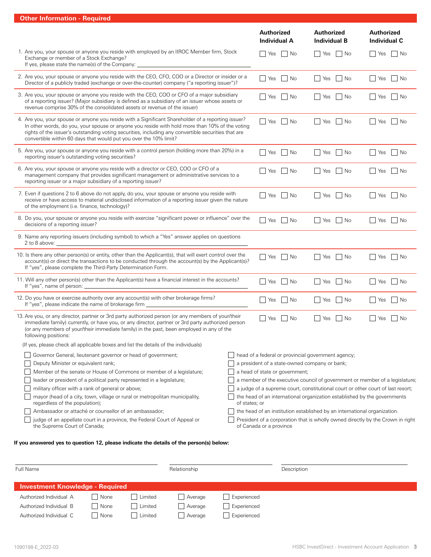|  | <b>Other Information - Required</b> |  |  |
|--|-------------------------------------|--|--|
|--|-------------------------------------|--|--|

| uler information - negalied                                                                                                                                                                                                                                                                                                                                                      |                    | Authorized<br><b>Individual A</b>                                               | <b>Authorized</b><br><b>Individual B</b> | Authorized<br><b>Individual C</b>                                              |
|----------------------------------------------------------------------------------------------------------------------------------------------------------------------------------------------------------------------------------------------------------------------------------------------------------------------------------------------------------------------------------|--------------------|---------------------------------------------------------------------------------|------------------------------------------|--------------------------------------------------------------------------------|
| 1. Are you, your spouse or anyone you reside with employed by an IIROC Member firm, Stock<br>Exchange or member of a Stock Exchange?<br>If yes, please state the name(s) of the Company: _______________________________                                                                                                                                                         | $\Box$ Yes<br>  No | Yes<br>  No                                                                     | Yes<br>$\Box$ No                         |                                                                                |
| 2. Are you, your spouse or anyone you reside with the CEO, CFO, COO or a Director or insider or a<br>Director of a publicly traded (exchange or over-the-counter) company ("a reporting issuer")?                                                                                                                                                                                |                    | Yes<br>$\vert$ No                                                               | Yes<br>  No                              | No<br>  Yes                                                                    |
| 3. Are you, your spouse or anyone you reside with the CEO, COO or CFO of a major subsidiary<br>of a reporting issuer? (Major subsidiary is defined as a subsidiary of an issuer whose assets or<br>revenue comprise 30% of the consolidated assets or revenue of the issuer)                                                                                                     |                    | Yes<br>∣No                                                                      | No<br>  Yes                              | $\Box$<br>Yes<br>∣No                                                           |
| 4. Are you, your spouse or anyone you reside with a Significant Shareholder of a reporting issuer?<br>In other words, do you, your spouse or anyone you reside with hold more than 10% of the voting<br>rights of the issuer's outstanding voting securities, including any convertible securities that are<br>convertible within 60 days that would put you over the 10% limit? |                    | Yes<br>l I No                                                                   | <b>Yes</b><br>  No                       | $\Box$<br>Yes<br>  No                                                          |
| 5. Are you, your spouse or anyone you reside with a control person (holding more than 20%) in a<br>reporting issuer's outstanding voting securities?                                                                                                                                                                                                                             |                    | Yes<br>∣No                                                                      | <b>Yes</b><br>l No                       | ∣No<br>  Yes                                                                   |
| 6. Are you, your spouse or anyone you reside with a director or CEO, COO or CFO of a<br>management company that provides significant management or administrative services to a<br>reporting issuer or a major subsidiary of a reporting issuer?                                                                                                                                 |                    | Yes<br>  No                                                                     | $\overline{\phantom{a}}$ No<br>  Yes     | Yes<br>∣No                                                                     |
| 7. Even if questions 2 to 6 above do not apply, do you, your spouse or anyone you reside with<br>receive or have access to material undisclosed information of a reporting issuer given the nature<br>of the employment (i.e. finance, technology)?                                                                                                                              | Yes<br>∣No         | <b>Yes</b><br>∣No                                                               | Yes<br>∣No                               |                                                                                |
| 8. Do you, your spouse or anyone you reside with exercise "significant power or influence" over the<br>decisions of a reporting issuer?                                                                                                                                                                                                                                          |                    | Yes<br>No                                                                       | No<br>  Yes                              | Yes<br>∣No                                                                     |
| 9. Name any reporting issuers (including symbol) to which a "Yes" answer applies on questions<br>2 to 8 above:                                                                                                                                                                                                                                                                   |                    |                                                                                 |                                          |                                                                                |
| 10. Is there any other person(s) or entity, other than the Applicant(s), that will exert control over the<br>account(s) or direct the transactions to be conducted through the account(s) by the Applicant(s)?<br>If "yes", please complete the Third-Party Determination Form.                                                                                                  |                    | Yes<br>$\vert$ No                                                               | No<br>  Yes                              | Yes<br>∣No<br>$\Box$                                                           |
| 11. Will any other person(s) other than the Applicant(s) have a financial interest in the accounts?<br>If "yes", name of person: _                                                                                                                                                                                                                                               |                    | ∣No<br>Yes                                                                      | ∣No<br>Yes                               | No<br>Yes                                                                      |
| 12. Do you have or exercise authority over any account(s) with other brokerage firms?<br>If "yes", please indicate the name of brokerage firm                                                                                                                                                                                                                                    |                    | ∣No<br>Yes                                                                      | l No<br>Yes                              | ∣No<br>l I Yes                                                                 |
| 13. Are you, or any director, partner or 3rd party authorized person (or any members of your/their<br>immediate family) currently, or have you, or any director, partner or 3rd party authorized person<br>(or any members of your/their immediate family) in the past, been employed in any of the<br>following positions:                                                      |                    | Yes<br>  No                                                                     | No<br>Yes                                | l Yes<br>∣No                                                                   |
| (If yes, please check all applicable boxes and list the details of the individuals)                                                                                                                                                                                                                                                                                              |                    |                                                                                 |                                          |                                                                                |
| Governor General, lieutenant governor or head of government;                                                                                                                                                                                                                                                                                                                     |                    | head of a federal or provincial government agency;                              |                                          |                                                                                |
| Deputy Minister or equivalent rank;                                                                                                                                                                                                                                                                                                                                              |                    | a president of a state-owned company or bank;                                   |                                          |                                                                                |
| Member of the senate or House of Commons or member of a legislature;                                                                                                                                                                                                                                                                                                             |                    | a head of state or government;                                                  |                                          |                                                                                |
| leader or president of a political party represented in a legislature;                                                                                                                                                                                                                                                                                                           |                    |                                                                                 |                                          | a member of the executive council of government or member of a legislature;    |
| military officer with a rank of general or above;                                                                                                                                                                                                                                                                                                                                |                    | a judge of a supreme court, constitutional court or other court of last resort; |                                          |                                                                                |
| mayor (head of a city, town, village or rural or metropolitan municipality,<br>regardless of the population);                                                                                                                                                                                                                                                                    | of states; or      | the head of an international organization established by the governments        |                                          |                                                                                |
| Ambassador or attaché or counsellor of an ambassador;                                                                                                                                                                                                                                                                                                                            |                    | the head of an institution established by an international organization.        |                                          |                                                                                |
| judge of an appellate court in a province, the Federal Court of Appeal or<br>the Supreme Court of Canada;                                                                                                                                                                                                                                                                        |                    | of Canada or a province                                                         |                                          | President of a corporation that is wholly owned directly by the Crown in right |
| If you answered yes to question 12, please indicate the details of the person(s) below:                                                                                                                                                                                                                                                                                          |                    |                                                                                 |                                          |                                                                                |
|                                                                                                                                                                                                                                                                                                                                                                                  |                    |                                                                                 |                                          |                                                                                |
| Full Name<br>Relationship                                                                                                                                                                                                                                                                                                                                                        |                    | Description                                                                     |                                          |                                                                                |

| Investment Knowledge - Required |      |         |                      |             |
|---------------------------------|------|---------|----------------------|-------------|
| Authorized Individual A         | None | Limited | Average              | Experienced |
| Authorized Individual B         | None | Limited | Average              | Experienced |
| Authorized Individual C         | None | Limited | <sup>'</sup> Average | Experienced |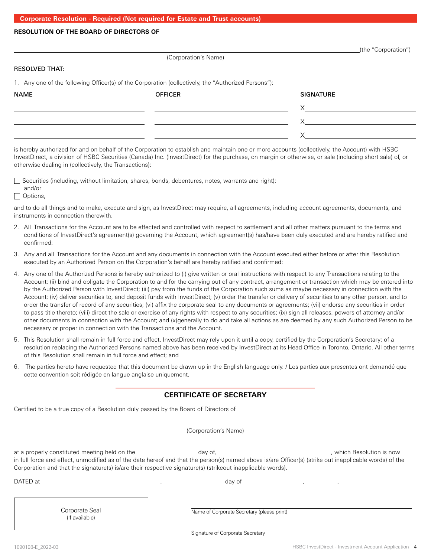### **RESOLUTION OF THE BOARD OF DIRECTORS OF**

|  | (the "Corporation") |  |  |
|--|---------------------|--|--|
|  |                     |  |  |

#### RESOLVED THAT:

1. Any one of the following Officer(s) of the Corporation (collectively, the "Authorized Persons"):

| <b>NAME</b> | <b>OFFICER</b> | <b>SIGNATURE</b> |
|-------------|----------------|------------------|
|             |                |                  |
|             |                |                  |
|             |                |                  |

(Corporation's Name)

is hereby authorized for and on behalf of the Corporation to establish and maintain one or more accounts (collectively, the Account) with HSBC InvestDirect, a division of HSBC Securities (Canada) Inc. (InvestDirect) for the purchase, on margin or otherwise, or sale (including short sale) of, or otherwise dealing in (collectively, the Transactions):

 $\Box$  Securities (including, without limitation, shares, bonds, debentures, notes, warrants and right):

#### and/or Options,

and to do all things and to make, execute and sign, as InvestDirect may require, all agreements, including account agreements, documents, and instruments in connection therewith.

- 2. All Transactions for the Account are to be effected and controlled with respect to settlement and all other matters pursuant to the terms and conditions of InvestDirect's agreement(s) governing the Account, which agreement(s) has/have been duly executed and are hereby ratified and confirmed:
- 3. Any and all Transactions for the Account and any documents in connection with the Account executed either before or after this Resolution executed by an Authorized Person on the Corporation's behalf are hereby ratified and confirmed:
- 4. Any one of the Authorized Persons is hereby authorized to (i) give written or oral instructions with respect to any Transactions relating to the Account; (ii) bind and obligate the Corporation to and for the carrying out of any contract, arrangement or transaction which may be entered into by the Authorized Person with InvestDirect; (iii) pay from the funds of the Corporation such sums as maybe necessary in connection with the Account; (iv) deliver securities to, and deposit funds with InvestDirect; (v) order the transfer or delivery of securities to any other person, and to order the transfer of record of any securities; (vi) affix the corporate seal to any documents or agreements; (vii) endorse any securities in order to pass title thereto; (viii) direct the sale or exercise of any rights with respect to any securities; (ix) sign all releases, powers of attorney and/or other documents in connection with the Account; and (x)generally to do and take all actions as are deemed by any such Authorized Person to be necessary or proper in connection with the Transactions and the Account.
- 5. This Resolution shall remain in full force and effect. InvestDirect may rely upon it until a copy, certified by the Corporation's Secretary; of a resolution replacing the Authorized Persons named above has been received by InvestDirect at its Head Office in Toronto, Ontario. All other terms of this Resolution shall remain in full force and effect; and
- 6. The parties hereto have requested that this document be drawn up in the English language only. / Les parties aux presentes ont demandé que cette convention soit rédigée en langue anglaise uniquement.

## **CERTIFICATE OF SECRETARY**

Certified to be a true copy of a Resolution duly passed by the Board of Directors of

(Corporation's Name)

at a properly constituted meeting held on the \_\_\_\_\_\_\_\_\_\_\_\_\_\_\_\_\_ day of, \_\_\_\_\_\_\_\_\_\_\_\_\_\_\_\_\_\_\_\_\_\_\_\_\_\_\_\_\_\_\_\_\_\_, which Resolution is now in full force and effect, unmodified as of the date hereof and that the person(s) named above is/are Officer(s) (strike out inapplicable words) of the Corporation and that the signature(s) is/are their respective signature(s) (strikeout inapplicable words).

DATED at , day of , .

Corporate Seal (If available)

Name of Corporate Secretary (please print)

Signature of Corporate Secretary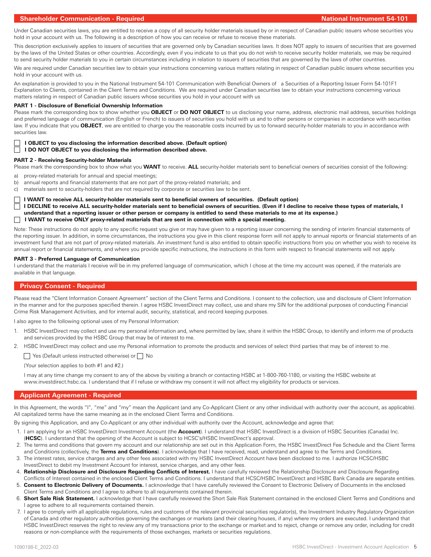### **Shareholder Communication - Required National Instrument 54-101**

Under Canadian securities laws, you are entitled to receive a copy of all security holder materials issued by or in respect of Canadian public issuers whose securities you hold in your account with us. The following is a description of how you can receive or refuse to receive these materials.

This description exclusively applies to issuers of securities that are governed only by Canadian securities laws. It does NOT apply to issuers of securities that are governed by the laws of the United States or other countries. Accordingly, even if you indicate to us that you do not wish to receive security holder materials, we may be required to send security holder materials to you in certain circumstances including in relation to issuers of securities that are governed by the laws of other countries.

We are required under Canadian securities law to obtain your instructions concerning various matters relating in respect of Canadian public issuers whose securities you hold in your account with us.

An explanation is provided to you in the National Instrument 54-101 Communication with Beneficial Owners of a Securities of a Reporting Issuer Form 54-101F1 Explanation to Clients, contained in the Client Terms and Conditions. We are required under Canadian securities law to obtain your instructions concerning various matters relating in respect of Canadian public issuers whose securities you hold in your account with us

#### **PART 1 - Disclosure of Beneficial Ownership Information**

Please mark the corresponding box to show whether you **OBJECT** or **DO NOT OBJECT** to us disclosing your name, address, electronic mail address, securities holdings and preferred language of communication (English or French) to issuers of securities you hold with us and to other persons or companies in accordance with securities law. If you indicate that you **OBJECT**, we are entitled to charge you the reasonable costs incurred by us to forward security-holder materials to you in accordance with securities law.

#### **I OBJECT to you disclosing the information described above. (Default option)**

**I DO NOT OBJECT to you disclosing the information described above.** 

#### **PART 2 - Receiving Security-holder Materials**

Please mark the corresponding box to show what you **WANT** to receive. **ALL** security-holder materials sent to beneficial owners of securities consist of the following:

a) proxy-related materials for annual and special meetings;

- b) annual reports and financial statements that are not part of the proxy-related materials; and
- c) materials sent to security-holders that are not required by corporate or securities law to be sent.

**I WANT to receive ALL security-holder materials sent to beneficial owners of securities. (Default option)**

**I DECLINE to receive ALL security-holder materials sent to beneficial owners of securities. (Even if I decline to receive these types of materials, I understand that a reporting issuer or other person or company is entitled to send these materials to me at its expense.) I WANT to receive ONLY proxy-related materials that are sent in connection with a special meeting.**

Note: These instructions do not apply to any specific request you give or may have given to a reporting issuer concerning the sending of interim financial statements of the reporting issuer. In addition, in some circumstances, the instructions you give in this client response form will not apply to annual reports or financial statements of an investment fund that are not part of proxy-related materials. An investment fund is also entitled to obtain specific instructions from you on whether you wish to receive its annual report or financial statements, and where you provide specific instructions, the instructions in this form with respect to financial statements will not apply.

#### **PART 3 - Preferred Language of Communication**

I understand that the materials I receive will be in my preferred language of communication, which I chose at the time my account was opened, if the materials are available in that language.

#### **Privacy Consent - Required**

Please read the "Client Information Consent Agreement" section of the Client Terms and Conditions. I consent to the collection, use and disclosure of Client Information in the manner and for the purposes specified therein. I agree HSBC InvestDirect may collect, use and share my SIN for the additional purposes of conducting Financial Crime Risk Management Activities, and for internal audit, security, statistical, and record keeping purposes.

I also agree to the following optional uses of my Personal Information:

- 1. HSBC InvestDirect may collect and use my personal information and, where permitted by law, share it within the HSBC Group, to identify and inform me of products and services provided by the HSBC Group that may be of interest to me.
- 2. HSBC InvestDirect may collect and use my Personal information to promote the products and services of select third parties that may be of interest to me.

 $\Box$  Yes (Default unless instructed otherwise) or  $\Box$  No

(Your selection applies to both #1 and #2.)

I may at any time change my consent to any of the above by visiting a branch or contacting HSBC at 1-800-760-1180, or visiting the HSBC website at www.investdirect.hsbc.ca. I understand that if I refuse or withdraw my consent it will not affect my eligibility for products or services.

#### **Applicant Agreement - Required**

In this Agreement, the words "I", "me" and "my" mean the Applicant (and any Co-Applicant Client or any other individual with authority over the account, as applicable). All capitalized terms have the same meaning as in the enclosed Client Terms and Conditions.

By signing this Application, and any Co-Applicant or any other individual with authority over the Account, acknowledge and agree that:

- 1. I am applying for an HSBC InvestDirect Investment Account (the **Account**). I understand that HSBC InvestDirect is a division of HSBC Securities (Canada) Inc. (**HCSC**). I understand that the opening of the Account is subject to HCSC's/HSBC InvestDirect's approval.
- 2. The terms and conditions that govern my account and our relationship are set out in this Application Form, the HSBC InvestDirect Fee Schedule and the Client Terms and Conditions (collectively, the **Terms and Conditions**). I acknowledge that I have received, read, understand and agree to the Terms and Conditions.
- 3. The interest rates, service charges and any other fees associated with my HSBC InvestDirect Account have been disclosed to me. I authorize HCSC/HSBC InvestDirect to debit my Investment Account for interest, service charges, and any other fees.
- 4. **Relationship Disclosure and Disclosure Regarding Conflicts of Interest.** I have carefully reviewed the Relationship Disclosure and Disclosure Regarding
- Conflicts of Interest contained in the enclosed Client Terms and Conditions. I understand that HCSC/HSBC InvestDirect and HSBC Bank Canada are separate entities. 5. **Consent to Electronic Delivery of Documents.** I acknowledge that I have carefully reviewed the Consent to Electronic Delivery of Documents in the enclosed Client Terms and Conditions and I agree to adhere to all requirements contained therein.
- 6. **Short Sale Risk Statement.** I acknowledge that I have carefully reviewed the Short Sale Risk Statement contained in the enclosed Client Terms and Conditions and I agree to adhere to all requirements contained therein.
- 7. I agree to comply with all applicable regulations, rules and customs of the relevant provincial securities regulator(s), the Investment Industry Regulatory Organization of Canada and other regulatory authorities governing the exchanges or markets (and their clearing houses, if any) where my orders are executed. I understand that HSBC InvestDirect reserves the right to review any of my transactions prior to the exchange or market and to reject, change or remove any order, including for credit reasons or non-compliance with the requirements of those exchanges, markets or securities regulations.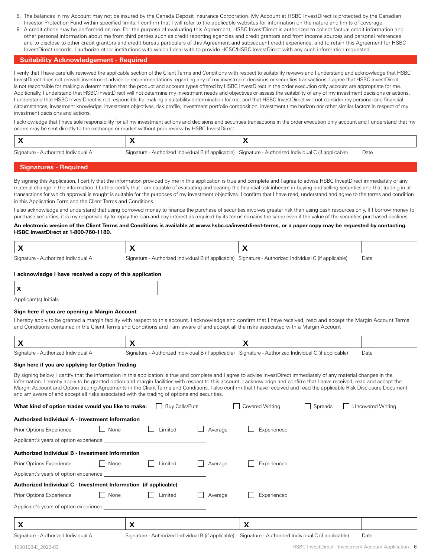- 8. The balances in my Account may not be insured by the Canada Deposit Insurance Corporation. My Account at HSBC InvestDirect is protected by the Canadian Investor Protection Fund within specified limits. I confirm that I will refer to the applicable websites for information on the nature and limits of coverage.
- 9. A credit check may be performed on me. For the purpose of evaluating this Agreement, HSBC InvestDirect is authorized to collect factual credit information and other personal information about me from third parties such as credit reporting agencies and credit grantors and from income sources and personal references and to disclose to other credit grantors and credit bureau particulars of this Agreement and subsequent credit experience, and to retain this Agreement for HSBC InvestDirect records. I authorize other institutions with which I deal with to provide HCSC/HSBC InvestDirect with any such information requested.

#### **Suitability Acknowledgement - Required**

I verify that I have carefully reviewed the applicable section of the Client Terms and Conditions with respect to suitability reviews and I understand and acknowledge that HSBC InvestDirect does not provide investment advice or recommendations regarding any of my investment decisions or securities transactions. I agree that HSBC InvestDirect is not responsible for making a determination that the product and account types offered by HSBC InvestDirect in the order execution only account are appropriate for me. Additionally, I understand that HSBC InvestDirect will not determine my investment needs and objectives or assess the suitability of any of my investment decisions or actions. I understand that HSBC InvestDirect is not responsible for making a suitability determination for me, and that HSBC InvestDirect will not consider my personal and financial circumstances, investment knowledge, investment objectives, risk profile, investment portfolio composition, investment time horizon nor other similar factors in respect of my investment decisions and actions.

I acknowledge that I have sole responsibility for all my investment actions and decisions and securities transactions in the order execution only account and I understand that my orders may be sent directly to the exchange or market without prior review by HSBC InvestDirect.

| Signature<br>- Authorized Individual A<br>ابراب | horized Individual B (if applicable).<br>∵anature : | Signature - Authorized Individual (<br>l C (it applicable) | Date |
|-------------------------------------------------|-----------------------------------------------------|------------------------------------------------------------|------|

#### **Signatures - Required**

By signing this Application, I certify that the information provided by me in this application is true and complete and I agree to advise HSBC InvestDirect immediately of any material change in the information. I further certify that I am capable of evaluating and bearing the financial risk inherent in buying and selling securities and that trading in all transactions for which approval is sought is suitable for the purposes of my investment objectives. I confirm that I have read, understand and agree to the terms and condition in this Application Form and the Client Terms and Conditions.

I also acknowledge and understand that using borrowed money to finance the purchase of securities involves greater risk than using cash resources only. If I borrow money to purchase securities, it is my responsibility to repay the loan and pay interest as required by its terms remains the same even if the value of the securities purchased declines.

#### **An electronic version of the Client Terms and Conditions is available at www.hsbc.ca/investdirect-terms, or a paper copy may be requested by contacting HSBC InvestDirect at 1-800-760-1180.**

Signature - Authorized Individual A Signature - Authorized Individual B (if applicable) Signature - Authorized Individual C (if applicable) Date

#### **I acknowledge I have received a copy of this application**

| I |  |
|---|--|
|   |  |

Applicant(s) Initials

#### **Sign here if you are opening a Margin Account**

I hereby apply to be granted a margin facility with respect to this account. I acknowledge and confirm that I have received, read and accept the Margin Account Terms and Conditions contained in the Client Terms and Conditions and I am aware of and accept all the risks associated with a Margin Account

Signature - Authorized Individual A Signature - Authorized Individual B (if applicable) Signature - Authorized Individual C (if applicable) Date

#### **Sign here if you are applying for Option Trading**

By signing below, I certify that the information in this application is true and complete and I agree to advise InvestDirect immediately of any material changes in the information. I hereby apply to be granted option and margin facilities with respect to this account. I acknowledge and confirm that I have received, read and accept the Margin Account and Option trading Agreements in the Client Terms and Conditions. I also confirm that I have received and read the applicable Risk Disclosure Document and am aware of and accept all risks associated with the trading of options and securities.

| <b>Buy Calls/Puts</b><br>Covered Writing<br>Spreads<br>Uncovered Writing<br>What kind of option trades would you like to make:<br>$\Box$<br>$\sim$ |                                                     |                                                     |      |  |  |  |  |
|----------------------------------------------------------------------------------------------------------------------------------------------------|-----------------------------------------------------|-----------------------------------------------------|------|--|--|--|--|
|                                                                                                                                                    | Authorized Individual A - Investment Information    |                                                     |      |  |  |  |  |
| None<br>Prior Options Experience                                                                                                                   | Limited                                             | Experienced<br>Average                              |      |  |  |  |  |
| Applicant's years of option experience <b>Example 20</b>                                                                                           |                                                     |                                                     |      |  |  |  |  |
| Authorized Individual B - Investment Information                                                                                                   |                                                     |                                                     |      |  |  |  |  |
| None<br>Prior Options Experience                                                                                                                   | Limited                                             | Experienced<br>Average                              |      |  |  |  |  |
| Applicant's years of option experience                                                                                                             |                                                     |                                                     |      |  |  |  |  |
| Authorized Individual C - Investment Information (if applicable)                                                                                   |                                                     |                                                     |      |  |  |  |  |
| Prior Options Experience<br>None                                                                                                                   | Limited                                             | Experienced<br>Average                              |      |  |  |  |  |
|                                                                                                                                                    |                                                     |                                                     |      |  |  |  |  |
| X                                                                                                                                                  | X                                                   | X                                                   |      |  |  |  |  |
| Signature - Authorized Individual A                                                                                                                | Signature - Authorized Individual B (if applicable) | Signature - Authorized Individual C (if applicable) | Date |  |  |  |  |